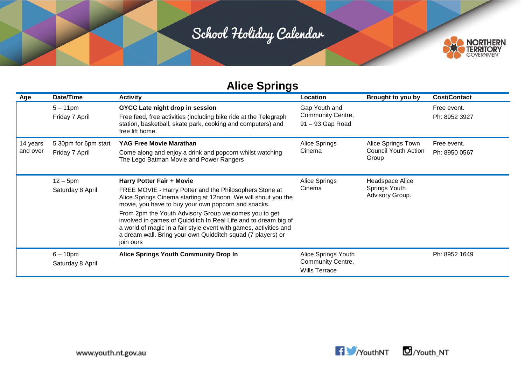

| Age                  | Date/Time                              | <b>Activity</b>                                                                                                                                                                                                                                                                                                                                                                                                                                                                            | Location                                                         | Brought to you by                                          | <b>Cost/Contact</b>          |
|----------------------|----------------------------------------|--------------------------------------------------------------------------------------------------------------------------------------------------------------------------------------------------------------------------------------------------------------------------------------------------------------------------------------------------------------------------------------------------------------------------------------------------------------------------------------------|------------------------------------------------------------------|------------------------------------------------------------|------------------------------|
|                      | $5 - 11$ pm<br>Friday 7 April          | GYCC Late night drop in session<br>Free feed, free activities (including bike ride at the Telegraph<br>station, basketball, skate park, cooking and computers) and<br>free lift home.                                                                                                                                                                                                                                                                                                      | Gap Youth and<br>Community Centre,<br>91 - 93 Gap Road           |                                                            | Free event.<br>Ph: 8952 3927 |
| 14 years<br>and over | 5.30pm for 6pm start<br>Friday 7 April | <b>YAG Free Movie Marathan</b><br>Come along and enjoy a drink and popcorn whilst watching<br>The Lego Batman Movie and Power Rangers                                                                                                                                                                                                                                                                                                                                                      | Alice Springs<br>Cinema                                          | Alice Springs Town<br><b>Council Youth Action</b><br>Group | Free event.<br>Ph: 8950 0567 |
|                      | $12 - 5$ pm<br>Saturday 8 April        | Harry Potter Fair + Movie<br>FREE MOVIE - Harry Potter and the Philosophers Stone at<br>Alice Springs Cinema starting at 12noon. We will shout you the<br>movie, you have to buy your own popcorn and snacks.<br>From 2pm the Youth Advisory Group welcomes you to get<br>involved in games of Quidditch In Real Life and to dream big of<br>a world of magic in a fair style event with games, activities and<br>a dream wall. Bring your own Quidditch squad (7 players) or<br>join ours | Alice Springs<br>Cinema                                          | Headspace Alice<br>Springs Youth<br>Advisory Group.        |                              |
|                      | $6 - 10$ pm<br>Saturday 8 April        | <b>Alice Springs Youth Community Drop In</b>                                                                                                                                                                                                                                                                                                                                                                                                                                               | Alice Springs Youth<br>Community Centre,<br><b>Wills Terrace</b> |                                                            | Ph: 8952 1649                |

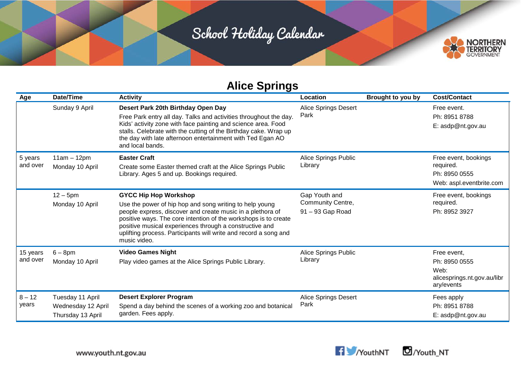

| Age                  | Date/Time                                                   | <b>Activity</b>                                                                                                                                                                                                                                                                                                                                                         | Location                                               | Brought to you by | <b>Cost/Contact</b>                                                               |
|----------------------|-------------------------------------------------------------|-------------------------------------------------------------------------------------------------------------------------------------------------------------------------------------------------------------------------------------------------------------------------------------------------------------------------------------------------------------------------|--------------------------------------------------------|-------------------|-----------------------------------------------------------------------------------|
|                      | Sunday 9 April                                              | Desert Park 20th Birthday Open Day<br>Free Park entry all day. Talks and activities throughout the day.<br>Kids' activity zone with face painting and science area. Food<br>stalls. Celebrate with the cutting of the Birthday cake. Wrap up<br>the day with late afternoon entertainment with Ted Egan AO<br>and local bands.                                          | <b>Alice Springs Desert</b><br>Park                    |                   | Free event.<br>Ph: 8951 8788<br>E: asdp@nt.gov.au                                 |
| 5 years<br>and over  | $11am - 12pm$<br>Monday 10 April                            | <b>Easter Craft</b><br>Create some Easter themed craft at the Alice Springs Public<br>Library. Ages 5 and up. Bookings required.                                                                                                                                                                                                                                        | Alice Springs Public<br>Library                        |                   | Free event, bookings<br>required.<br>Ph: 8950 0555<br>Web: aspl.eventbrite.com    |
|                      | $12 - 5$ pm<br>Monday 10 April                              | <b>GYCC Hip Hop Workshop</b><br>Use the power of hip hop and song writing to help young<br>people express, discover and create music in a plethora of<br>positive ways. The core intention of the workshops is to create<br>positive musical experiences through a constructive and<br>uplifting process. Participants will write and record a song and<br>music video. | Gap Youth and<br>Community Centre,<br>91 - 93 Gap Road |                   | Free event, bookings<br>required.<br>Ph: 8952 3927                                |
| 15 years<br>and over | $6 - 8$ pm<br>Monday 10 April                               | <b>Video Games Night</b><br>Play video games at the Alice Springs Public Library.                                                                                                                                                                                                                                                                                       | Alice Springs Public<br>Library                        |                   | Free event,<br>Ph: 8950 0555<br>Web:<br>alicesprings.nt.gov.au/libr<br>ary/events |
| $8 - 12$<br>years    | Tuesday 11 April<br>Wednesday 12 April<br>Thursday 13 April | <b>Desert Explorer Program</b><br>Spend a day behind the scenes of a working zoo and botanical<br>garden. Fees apply.                                                                                                                                                                                                                                                   | <b>Alice Springs Desert</b><br>Park                    |                   | Fees apply<br>Ph: 8951 8788<br>E: asdp@nt.gov.au                                  |



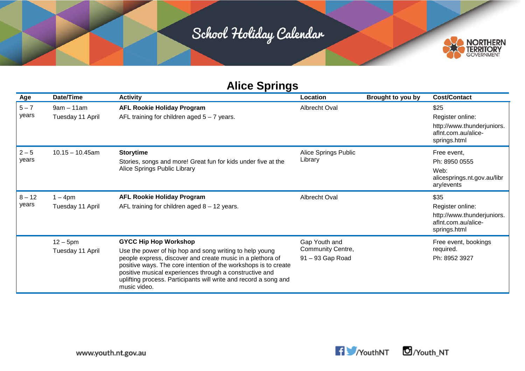

| Age               | Date/Time                        | <b>Activity</b>                                                                                                                                                                                                                                                                                                                                                         | Location                                               | Brought to you by | <b>Cost/Contact</b>                                                                           |
|-------------------|----------------------------------|-------------------------------------------------------------------------------------------------------------------------------------------------------------------------------------------------------------------------------------------------------------------------------------------------------------------------------------------------------------------------|--------------------------------------------------------|-------------------|-----------------------------------------------------------------------------------------------|
| $5 - 7$<br>years  | $9am - 11am$<br>Tuesday 11 April | <b>AFL Rookie Holiday Program</b><br>AFL training for children aged $5 - 7$ years.                                                                                                                                                                                                                                                                                      | Albrecht Oval                                          |                   | \$25<br>Register online:<br>http://www.thunderjuniors.<br>afInt.com.au/alice-<br>springs.html |
| $2 - 5$<br>years  | $10.15 - 10.45$ am               | <b>Storytime</b><br>Stories, songs and more! Great fun for kids under five at the<br>Alice Springs Public Library                                                                                                                                                                                                                                                       | Alice Springs Public<br>Library                        |                   | Free event.<br>Ph: 8950 0555<br>Web:<br>alicesprings.nt.gov.au/libr<br>ary/events             |
| $8 - 12$<br>years | $1 - 4$ pm<br>Tuesday 11 April   | <b>AFL Rookie Holiday Program</b><br>AFL training for children aged $8 - 12$ years.                                                                                                                                                                                                                                                                                     | Albrecht Oval                                          |                   | \$35<br>Register online:<br>http://www.thunderjuniors.<br>afInt.com.au/alice-<br>springs.html |
|                   | $12 - 5$ pm<br>Tuesday 11 April  | <b>GYCC Hip Hop Workshop</b><br>Use the power of hip hop and song writing to help young<br>people express, discover and create music in a plethora of<br>positive ways. The core intention of the workshops is to create<br>positive musical experiences through a constructive and<br>uplifting process. Participants will write and record a song and<br>music video. | Gap Youth and<br>Community Centre,<br>91 - 93 Gap Road |                   | Free event, bookings<br>required.<br>Ph: 8952 3927                                            |

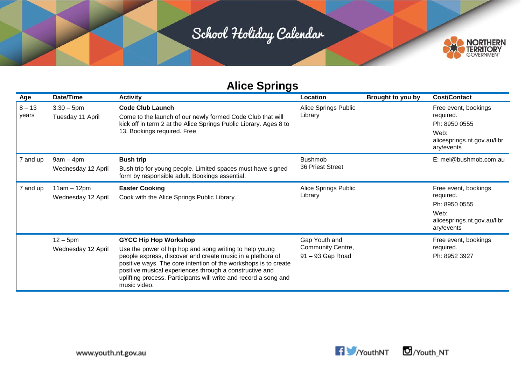

## **Alice Springs**

| Age               | Date/Time                           | <b>Activity</b>                                                                                                                                                                                                                                                                                                                                                         | Location                                               | Brought to you by | <b>Cost/Contact</b>                                                                                     |
|-------------------|-------------------------------------|-------------------------------------------------------------------------------------------------------------------------------------------------------------------------------------------------------------------------------------------------------------------------------------------------------------------------------------------------------------------------|--------------------------------------------------------|-------------------|---------------------------------------------------------------------------------------------------------|
| $8 - 13$<br>years | $3.30 - 5$ pm<br>Tuesday 11 April   | <b>Code Club Launch</b><br>Come to the launch of our newly formed Code Club that will<br>kick off in term 2 at the Alice Springs Public Library. Ages 8 to<br>13. Bookings required. Free                                                                                                                                                                               | Alice Springs Public<br>Library                        |                   | Free event, bookings<br>required.<br>Ph: 8950 0555<br>Web:<br>alicesprings.nt.gov.au/libr<br>ary/events |
| 7 and up          | $9am - 4pm$<br>Wednesday 12 April   | <b>Bush trip</b><br>Bush trip for young people. Limited spaces must have signed<br>form by responsible adult. Bookings essential.                                                                                                                                                                                                                                       | <b>Bushmob</b><br>36 Priest Street                     |                   | E: mel@bushmob.com.au                                                                                   |
| 7 and up          | $11am - 12pm$<br>Wednesday 12 April | <b>Easter Cooking</b><br>Cook with the Alice Springs Public Library.                                                                                                                                                                                                                                                                                                    | Alice Springs Public<br>Library                        |                   | Free event, bookings<br>required.<br>Ph: 8950 0555<br>Web:<br>alicesprings.nt.gov.au/libr<br>ary/events |
|                   | $12 - 5$ pm<br>Wednesday 12 April   | <b>GYCC Hip Hop Workshop</b><br>Use the power of hip hop and song writing to help young<br>people express, discover and create music in a plethora of<br>positive ways. The core intention of the workshops is to create<br>positive musical experiences through a constructive and<br>uplifting process. Participants will write and record a song and<br>music video. | Gap Youth and<br>Community Centre,<br>91 - 93 Gap Road |                   | Free event, bookings<br>required.<br>Ph: 8952 3927                                                      |



Vouth\_NT

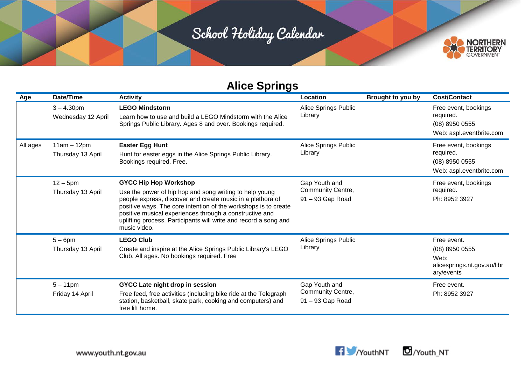

| Age      | Date/Time                           | <b>Activity</b>                                                                                                                                                                                                                                                                                                                                                         | Location                                               | Brought to you by | <b>Cost/Contact</b>                                                                  |
|----------|-------------------------------------|-------------------------------------------------------------------------------------------------------------------------------------------------------------------------------------------------------------------------------------------------------------------------------------------------------------------------------------------------------------------------|--------------------------------------------------------|-------------------|--------------------------------------------------------------------------------------|
|          | $3 - 4.30$ pm<br>Wednesday 12 April | <b>LEGO Mindstorm</b><br>Learn how to use and build a LEGO Mindstorm with the Alice<br>Springs Public Library. Ages 8 and over. Bookings required.                                                                                                                                                                                                                      | Alice Springs Public<br>Library                        |                   | Free event, bookings<br>required.<br>(08) 8950 0555<br>Web: aspl.eventbrite.com      |
| All ages | $11am - 12pm$<br>Thursday 13 April  | <b>Easter Egg Hunt</b><br>Hunt for easter eggs in the Alice Springs Public Library.<br>Bookings required. Free.                                                                                                                                                                                                                                                         | Alice Springs Public<br>Library                        |                   | Free event, bookings<br>required.<br>(08) 8950 0555<br>Web: aspl.eventbrite.com      |
|          | $12 - 5$ pm<br>Thursday 13 April    | <b>GYCC Hip Hop Workshop</b><br>Use the power of hip hop and song writing to help young<br>people express, discover and create music in a plethora of<br>positive ways. The core intention of the workshops is to create<br>positive musical experiences through a constructive and<br>uplifting process. Participants will write and record a song and<br>music video. | Gap Youth and<br>Community Centre,<br>91 - 93 Gap Road |                   | Free event, bookings<br>required.<br>Ph: 8952 3927                                   |
|          | $5-6$ pm<br>Thursday 13 April       | <b>LEGO Club</b><br>Create and inspire at the Alice Springs Public Library's LEGO<br>Club. All ages. No bookings required. Free                                                                                                                                                                                                                                         | Alice Springs Public<br>Library                        |                   | Free event.<br>$(08)$ 8950 0555<br>Web:<br>alicesprings.nt.gov.au/libr<br>ary/events |
|          | $5 - 11$ pm<br>Friday 14 April      | <b>GYCC Late night drop in session</b><br>Free feed, free activities (including bike ride at the Telegraph<br>station, basketball, skate park, cooking and computers) and<br>free lift home.                                                                                                                                                                            | Gap Youth and<br>Community Centre,<br>91 - 93 Gap Road |                   | Free event.<br>Ph: 8952 3927                                                         |